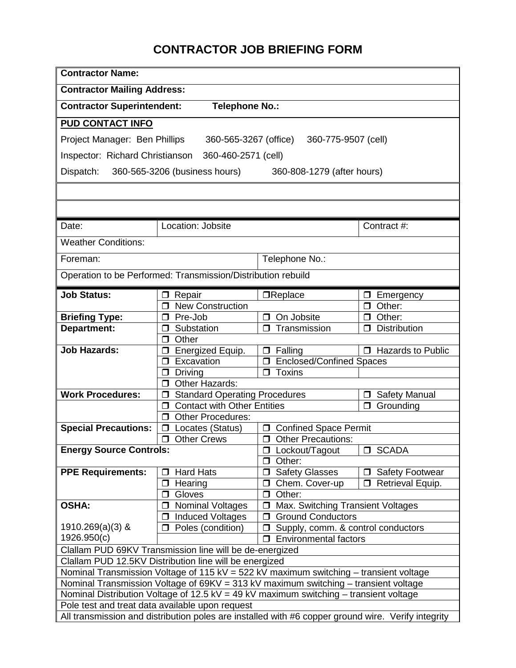## **CONTRACTOR JOB BRIEFING FORM**

| <b>Contractor Name:</b>                                                                                                                                                                                                                                                                                                                                                                                                                                                                                                                             |                                                                                                                   |                                             |                                     |  |
|-----------------------------------------------------------------------------------------------------------------------------------------------------------------------------------------------------------------------------------------------------------------------------------------------------------------------------------------------------------------------------------------------------------------------------------------------------------------------------------------------------------------------------------------------------|-------------------------------------------------------------------------------------------------------------------|---------------------------------------------|-------------------------------------|--|
| <b>Contractor Mailing Address:</b>                                                                                                                                                                                                                                                                                                                                                                                                                                                                                                                  |                                                                                                                   |                                             |                                     |  |
| <b>Contractor Superintendent:</b><br><b>Telephone No.:</b>                                                                                                                                                                                                                                                                                                                                                                                                                                                                                          |                                                                                                                   |                                             |                                     |  |
| <b>PUD CONTACT INFO</b>                                                                                                                                                                                                                                                                                                                                                                                                                                                                                                                             |                                                                                                                   |                                             |                                     |  |
| Project Manager: Ben Phillips<br>360-565-3267 (office)<br>360-775-9507 (cell)                                                                                                                                                                                                                                                                                                                                                                                                                                                                       |                                                                                                                   |                                             |                                     |  |
| Inspector: Richard Christianson<br>360-460-2571 (cell)                                                                                                                                                                                                                                                                                                                                                                                                                                                                                              |                                                                                                                   |                                             |                                     |  |
| 360-565-3206 (business hours)<br>Dispatch:<br>360-808-1279 (after hours)                                                                                                                                                                                                                                                                                                                                                                                                                                                                            |                                                                                                                   |                                             |                                     |  |
|                                                                                                                                                                                                                                                                                                                                                                                                                                                                                                                                                     |                                                                                                                   |                                             |                                     |  |
|                                                                                                                                                                                                                                                                                                                                                                                                                                                                                                                                                     |                                                                                                                   |                                             |                                     |  |
| Date:                                                                                                                                                                                                                                                                                                                                                                                                                                                                                                                                               | Location: Jobsite                                                                                                 |                                             | Contract #:                         |  |
|                                                                                                                                                                                                                                                                                                                                                                                                                                                                                                                                                     |                                                                                                                   |                                             |                                     |  |
| <b>Weather Conditions:</b>                                                                                                                                                                                                                                                                                                                                                                                                                                                                                                                          |                                                                                                                   |                                             |                                     |  |
| Foreman:                                                                                                                                                                                                                                                                                                                                                                                                                                                                                                                                            |                                                                                                                   | Telephone No.:                              |                                     |  |
| Operation to be Performed: Transmission/Distribution rebuild                                                                                                                                                                                                                                                                                                                                                                                                                                                                                        |                                                                                                                   |                                             |                                     |  |
| <b>Job Status:</b>                                                                                                                                                                                                                                                                                                                                                                                                                                                                                                                                  | Repair<br>□                                                                                                       | <b>OReplace</b>                             | Emergency<br>0                      |  |
|                                                                                                                                                                                                                                                                                                                                                                                                                                                                                                                                                     | <b>New Construction</b><br>⊓                                                                                      |                                             | Other:<br>⊓                         |  |
| <b>Briefing Type:</b>                                                                                                                                                                                                                                                                                                                                                                                                                                                                                                                               | Pre-Job<br>$\Box$                                                                                                 | On Jobsite                                  | Other:<br>⊓                         |  |
| Department:                                                                                                                                                                                                                                                                                                                                                                                                                                                                                                                                         | Substation<br>Ω                                                                                                   | Transmission<br>$\Box$                      | <b>Distribution</b><br>⊓            |  |
|                                                                                                                                                                                                                                                                                                                                                                                                                                                                                                                                                     | $\Box$ Other                                                                                                      |                                             |                                     |  |
| <b>Job Hazards:</b>                                                                                                                                                                                                                                                                                                                                                                                                                                                                                                                                 | Energized Equip.<br>◘                                                                                             | Falling<br>$\Box$                           | $\overline{\Box}$ Hazards to Public |  |
|                                                                                                                                                                                                                                                                                                                                                                                                                                                                                                                                                     | Excavation<br>⊓                                                                                                   | <b>Enclosed/Confined Spaces</b><br>$\Box$   |                                     |  |
|                                                                                                                                                                                                                                                                                                                                                                                                                                                                                                                                                     | <b>Driving</b><br>□                                                                                               | $\Box$ Toxins                               |                                     |  |
|                                                                                                                                                                                                                                                                                                                                                                                                                                                                                                                                                     | Other Hazards:<br>$\Box$                                                                                          |                                             |                                     |  |
| <b>Work Procedures:</b>                                                                                                                                                                                                                                                                                                                                                                                                                                                                                                                             | <b>Standard Operating Procedures</b><br><b>Safety Manual</b><br>◘<br>$\Box$<br><b>Contact with Other Entities</b> |                                             | Grounding                           |  |
|                                                                                                                                                                                                                                                                                                                                                                                                                                                                                                                                                     | □<br><b>Other Procedures:</b><br>Ω                                                                                |                                             |                                     |  |
| <b>Special Precautions:</b>                                                                                                                                                                                                                                                                                                                                                                                                                                                                                                                         | Locates (Status)<br>$\Box$                                                                                        | <b>Confined Space Permit</b><br>$\Box$      |                                     |  |
|                                                                                                                                                                                                                                                                                                                                                                                                                                                                                                                                                     | $\Box$<br><b>Other Crews</b>                                                                                      | <b>Other Precautions:</b><br>$\Box$         |                                     |  |
| <b>Energy Source Controls:</b>                                                                                                                                                                                                                                                                                                                                                                                                                                                                                                                      |                                                                                                                   | $\Box$ Lockout/Tagout                       | □ SCADA                             |  |
|                                                                                                                                                                                                                                                                                                                                                                                                                                                                                                                                                     |                                                                                                                   | $\Box$ Other:                               |                                     |  |
| <b>PPE Requirements:</b>                                                                                                                                                                                                                                                                                                                                                                                                                                                                                                                            | <b>Hard Hats</b><br>□                                                                                             | <b>Safety Glasses</b><br>$\Box$             | <b>Safety Footwear</b>              |  |
|                                                                                                                                                                                                                                                                                                                                                                                                                                                                                                                                                     | Hearing<br>$\Box$                                                                                                 | O Chem. Cover-up                            | <b>D</b> Retrieval Equip.           |  |
|                                                                                                                                                                                                                                                                                                                                                                                                                                                                                                                                                     | Gloves<br>◘                                                                                                       | Other:<br>$\Box$                            |                                     |  |
| <b>OSHA:</b>                                                                                                                                                                                                                                                                                                                                                                                                                                                                                                                                        | <b>Nominal Voltages</b><br>◘                                                                                      | Max. Switching Transient Voltages<br>$\Box$ |                                     |  |
|                                                                                                                                                                                                                                                                                                                                                                                                                                                                                                                                                     | <b>Induced Voltages</b><br>◻                                                                                      | <b>Ground Conductors</b><br>□               |                                     |  |
| $1910.269(a)(3)$ &                                                                                                                                                                                                                                                                                                                                                                                                                                                                                                                                  | Poles (condition)<br>⊓                                                                                            | Supply, comm. & control conductors          |                                     |  |
| 1926.950(c)                                                                                                                                                                                                                                                                                                                                                                                                                                                                                                                                         |                                                                                                                   | <b>Environmental factors</b><br>$\Box$      |                                     |  |
|                                                                                                                                                                                                                                                                                                                                                                                                                                                                                                                                                     |                                                                                                                   |                                             |                                     |  |
|                                                                                                                                                                                                                                                                                                                                                                                                                                                                                                                                                     |                                                                                                                   |                                             |                                     |  |
|                                                                                                                                                                                                                                                                                                                                                                                                                                                                                                                                                     |                                                                                                                   |                                             |                                     |  |
|                                                                                                                                                                                                                                                                                                                                                                                                                                                                                                                                                     |                                                                                                                   |                                             |                                     |  |
|                                                                                                                                                                                                                                                                                                                                                                                                                                                                                                                                                     |                                                                                                                   |                                             |                                     |  |
|                                                                                                                                                                                                                                                                                                                                                                                                                                                                                                                                                     |                                                                                                                   |                                             |                                     |  |
| Clallam PUD 69KV Transmission line will be de-energized<br>Clallam PUD 12.5KV Distribution line will be energized<br>Nominal Transmission Voltage of 115 kV = 522 kV maximum switching - transient voltage<br>Nominal Transmission Voltage of 69KV = 313 kV maximum switching - transient voltage<br>Nominal Distribution Voltage of 12.5 kV = 49 kV maximum switching – transient voltage<br>Pole test and treat data available upon request<br>All transmission and distribution poles are installed with #6 copper ground wire. Verify integrity |                                                                                                                   |                                             |                                     |  |